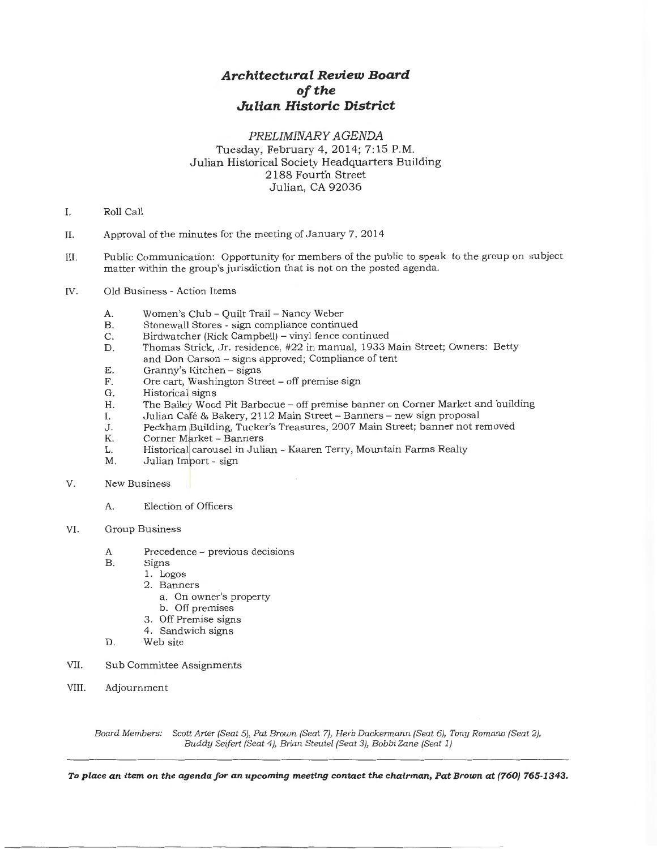#### *PRELIMINARY AGENDA*

Tuesday, February 4, 2014; 7:15P.M. Julian Historical Society Headquarters Building 2188 Fourth Street Julian, CA 92036

- I. Roll Call
- II. Approval of the minutes for the meeting of January 7, 2014
- III. Public Communication: Opportunity for members of the public to speak to the group on subject matter within the group's jurisdiction that is not on the posted agenda.
- IV. Old Business- Action Items
	- A. Women's Club- Quilt Trail- Nancy Weber
	- B. Stonewall Stores - sign compliance continued
	- C. Birdwatcher (Rick Campbell) - vinyl fence continued
	- D. Thomas Strick, Jr. residence, #22 in manual, 1933 Main Street; Owners: Betty and Don Carson - signs approved; Compliance of tent
	- E. Granny's Kitchen - signs
	- F. Ore cart, Washington Street - off premise sign
	- G. Historical signs
	- $H<sub>1</sub>$ The Bailey Wood Pit Barbecue – off premise banner on Corner Market and building
	- I. Julian Café & Bakery, 2112 Main Street - Banners - new sign proposal
	- J. Peckham Building, Tucker's Treasures, 2007 Main Street; banner not removed
	- K. Corner Market - Banners
	- L. Historical carousel in Julian- Kaaren Terry, Mountain Farms Realty
	- M. Julian Import - sign
- V. New Business
	- A. Election of Officers
- VI. Group Business
	- A. Precedence previous decisions
	- B. Signs
		- 1. Logos
			- 2. Banners
				- a. On owner's property
				- b. Off premises
			- 3. Off Premise signs
		- 4. Sandwich signs
	- D. Web site
- VII. Sub Committee Assignments
- VIII. Adjournment

*Board Members: Scott Arter (Seat 5), Pat Brown (Seat 7), Herb Dackermann (Seat 6), Tony Romano (Seat 2), Buddy Seifert (Seat 4), Brian Steutel (Seat 3), Bobbi Zane (Seat 1)*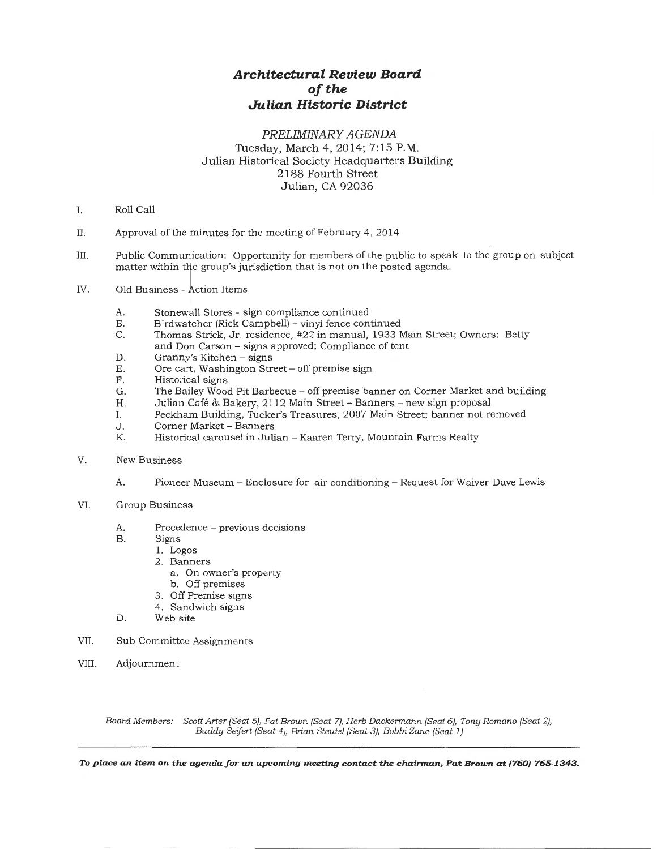#### *PRELIMINARY AGENDA*  Tuesday, March 4, 2014; 7:15 P.M. Julian Historical Society Headquarters Building 2188 Fourth Street Julian, CA 92036

- I. Roll Call
- II. Approval of the minutes for the meeting of February  $4, 2014$
- III. Public Communication: Opportunity for members of the public to speak to the group on subject matter within the group's jurisdiction that is not on the posted agenda.
- IV. Old Business- Action Items
	- A. Stonewall Stores sign compliance continued<br>B. Birdwatcher (Rick Campbell) vinyl fence con
	- B. Birdwatcher (Rick Campbell) vinyl fence continued<br>C. Thomas Strick. Jr. residence. #22 in manual. 1933 l
	- Thomas Strick, Jr. residence, #22 in manual, 1933 Main Street; Owners: Betty and Don Carson- signs approved; Compliance of tent
	- D. Granny's Kitchen signs<br>E. Ore cart. Washington Stre
	- E. Ore cart, Washington Street off premise sign<br>F. Historical signs
	- F. Historical signs<br>G. The Bailey Woo
	- G. The Bailey Wood Pit Barbecue off premise banner on Corner Market and building H. Julian Café & Bakery. 2112 Main Street Banners new sign proposal
	- H. Julian Café & Bakery, 2112 Main Street Banners new sign proposal<br>I. Peckham Building, Tucker's Treasures, 2007 Main Street; banner not re
	- I. Peckham Building, Tucker's Treasures, 2007 Main Street; banner not removed
	- J. Corner Market Banners<br>K. Historical carousel in Juli
	- Historical carousel in Julian Kaaren Terry, Mountain Farms Realty
- V. New Business
	- A. Pioneer Museum- Enclosure for air conditioning- Request for Waiver-Dave Lewis
- VI. Group Business
	- A. Precedence previous decisions<br>B. Signs
	- Signs
		- 1. Logos
			- 2. Banners
				- a. On owner's property
			- b. Off premises
			- 3. Off Premise signs
		- 4. Sandwich signs
	- D. Web site
- VII. Sub Committee Assignments
- VIII. Adjournment

*Board Members: Scott Arter (Seat 5), Pat Brown (Seat 7), Herb Dackermann (Seat 6), Tony Romano (Seat 2), Buddy Seifert (Seat 4), Brian Steutel (Seat 3), Bobbi Zane (Seat 1)*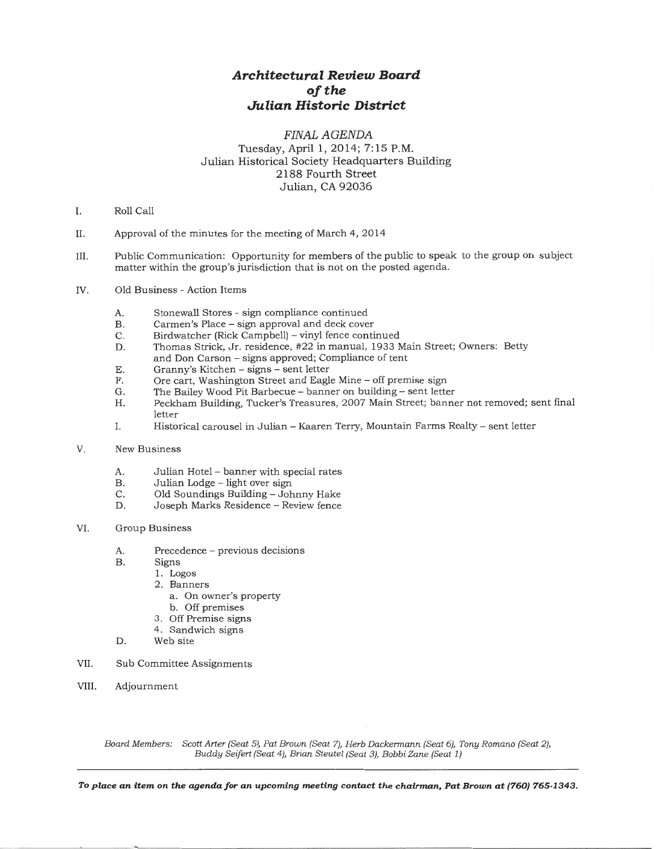### FINAL AGENDA Tuesday, April 1, 2014; 7:15 P.M. Julian Historical Society Headquarters Building 2188 Fourth Street Julian, CA 92036

- I. Roll Call
- II. Approval of the minutes for the meeting of March 4, 2014
- III. Public Communication: Opportunity for members of the public to speak to the group on subject matter within the group's jurisdiction that is not on the posted agenda.
- IV. Old Business Action Items
	- A. Stonewall Stores sign compliance continued<br>B. Carmen's Place sign approval and deck cove
	- B. Carmen's Place sign approval and deck cover<br>C. Birdwatcher (Rick Campbell) vinyl fence conti
	- C. Birdwatcher (Rick Campbell) vinyl fence continued<br>D. Thomas Strick. Jr. residence. #22 in manual. 1933 M
	- Thomas Strick, Jr. residence, #22 in manual, 1933 Main Street; Owners: Betty and Don Carson- signs approved; Compliance of tent
	- E. Granny's Kitchen signs sent letter<br>F. Ore cart. Washington Street and Eagle
	- F. Ore cart, Washington Street and Eagle Mine off premise sign G. The Bailey Wood Pit Barbecue banner on building sent lette
	- The Bailey Wood Pit Barbecue banner on building sent letter
	- H. Peckham Building, Tucker's Treasures, 2007 Main Street; banner not removed; sent final letter
	- I. Historical carousel in Julian- Kaaren Terry, Mountain Farms Realty- sent letter
- V. New Business
	- A. Julian Hotel banner with special rates<br>B. Julian Lodge light over sign
	- B. Julian Lodge light over sign<br>C. Old Soundings Building Joh
	- C. Old Soundings Building Johnny Hake<br>D. Joseph Marks Residence Review fence
	- D. Joseph Marks Residence- Review fence
- VI. Group Business
	- A. Precedence previous decisions<br>B. Signs
		- Signs
			- 1. Logos
				- 2. Banners
					- a. On owner's property
					- b. Off premises
				- 3. Off Premise signs
			- 4. Sandwich signs
	- D. Web site
- VII. Sub Committee Assignments
- VIII. Adjournment

*Board Members: Scott Arter (Seat 5), Pat Brown (Seat 7}, Herb Dackermann (Seat 6}, Tony Romano (Seat 2}, Buddy Seifert (Seat 4), Brian Steutel (Seat 3), Bobbi Zane (Seat 1)*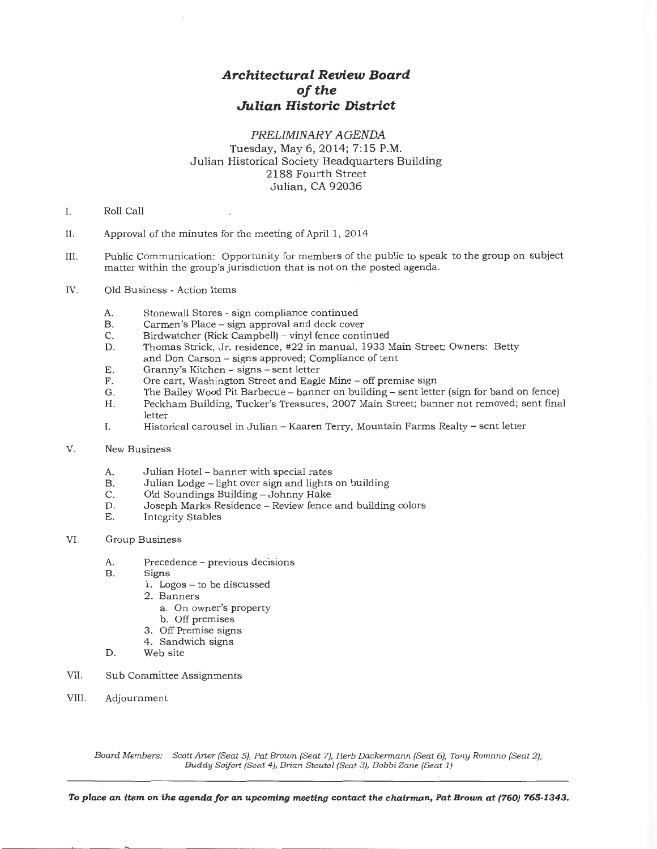### *PRELIMINARY AGENDA*  Tuesday, May 6, 2014; 7:15 P.M. Julian Historical Society Headquarters Building 2188 Fourth Street Julian, CA 92036

- I. Roll Call
- II. Approval of the minutes for the meeting of April 1, 2014
- III. Public Communication: Opportunity for members of the public to speak to the group on subject matter within the group's jurisdiction that is not on the posted agenda.
- IV. Old Business- Action Items
	- A. Stonewall Stores sign compliance continued<br>B. Carmen's Place sign approval and deck cove
	- B. Carmen's Place sign approval and deck cover<br>C. Birdwatcher (Rick Campbell) vinyl fence conti
	-
	- C. Birdwatcher (Rick Campbell) vinyl fence continued<br>D. Thomas Strick, Jr. residence, #22 in manual, 1933 N Thomas Strick, Jr. residence, #22 in manual, 1933 Main Street; Owners: Betty and Don Carson- signs approved; Compliance of tent
	- E. Granny's Kitchen signs sent letter<br>F. Cre. cart. Washington Street and Eagl
	- F. Ore cart, Washington Street and Eagle Mine off premise sign G. The Bailey Wood Pit Barbecue banner on building sent letter
	- The Bailey Wood Pit Barbecue banner on building sent letter (sign for band on fence)
	- H. Peckham Building, Tucker's Treasures, 2007 Main Street; banner not removed; sent final letter
	- I. Historical carousel in Julian- Kaaren Terry, Mountain Farms Realty- sent letter
- V. New Business
	- A. Julian Hotel banner with special rates
	- B. Julian Lodge light over sign and lights on building C. Old Soundings Building Johnny Hake
	- Old Soundings Building Johnny Hake
	- D. Joseph Marks Residence- Review fence and building colors
	- E. Integrity Stables

#### VI. Group Business

- A. Precedence previous decisions<br>B. Signs
- Signs
	- 1. Logos to be discussed
	- 2. Banners
		- a. On owner's property
		- b. Off premises
	- 3. Off Premise signs
	- 4. Sandwich signs
- D. Web site
- VII. Sub Committee Assignments
- VIII. Adjournment

Board Members: Scott Arter (Seat 5), Pat Brown (Seat 7), Herb Dackermann (Seat 6), Tony Romano (Seat 2), *Buddy Seifert (Seat 4), Brian Steutel (Seat 3), Bobbi Zane (Seat 1)*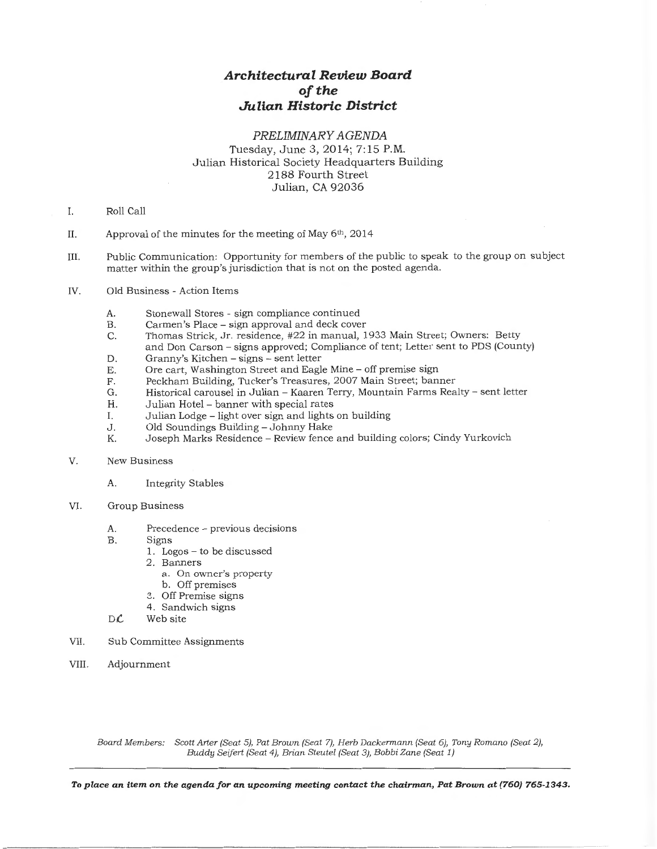#### *PRELIMINARY AGENDA*

Tuesday, June 3, 2014; 7:15P.M. Julian Historical Society Headquarters Building 2188 Fourth Street Julian, CA 92036

- I. Roll Call
- II. Approval of the minutes for the meeting of May 6th, 2014
- III. Public Communication: Opportunity for members of the public to speak to the group on subject matter within the group's jurisdiction that is not on the posted agenda.
- IV. Old Business -Action Items
	- A. Stonewall Stores sign compliance continued<br>B. Carmen's Place sign approval and deck cove
	- B. Carmen's Place sign approval and deck cover<br>C. Thomas Strick, Jr. residence, #22 in manual, 1
	- Thomas Strick, Jr. residence, #22 in manual, 1933 Main Street; Owners: Betty and Don Carson- signs approved; Compliance of tent; Letter sent to PDS (County)
	- D. Granny's Kitchen signs sent letter<br>E. Ore cart. Washington Street and Eagle
	- E. Ore cart, Washington Street and Eagle Mine off premise sign<br>F. Peckham Building. Tucker's Treasures. 2007 Main Street: ban.
	- Peckham Building, Tucker's Treasures, 2007 Main Street; banner
	- G. Historical carousel in Julian- Kaaren Terry, Mountain Farms Realty- sent letter
	- Julian Hotel banner with special rates
	- I. Julian Lodge light over sign and lights on building
	- J. Old Soundings Building- Johnny Hake
	- Joseph Marks Residence Review fence and building colors; Cindy Yurkovich
- V. New Business
	- A. Integrity Stables
- VI. Group Business
	- A. Precedence previous decisions<br>B. Signs
	- Signs
		- 1. Logos to be discussed
		- 2. Banners
			- a. On owner's property
		- b. Off premises
		- 3. Off Premise signs
		- 4. Sandwich signs
	- $D\mathcal{L}$  Web site
- VII. Sub Committee Assignments
- VIII. Adjournment

*Board Members: Scott Arter (Seat 5), Pat Brown (Seat 7), Herb Dackermann (Seat 6), Tony Romano (Seat 2), Buddy Seifert (Seat 4), Brian Steutel (Seat 3), Bobbi Zane (Seat 1)*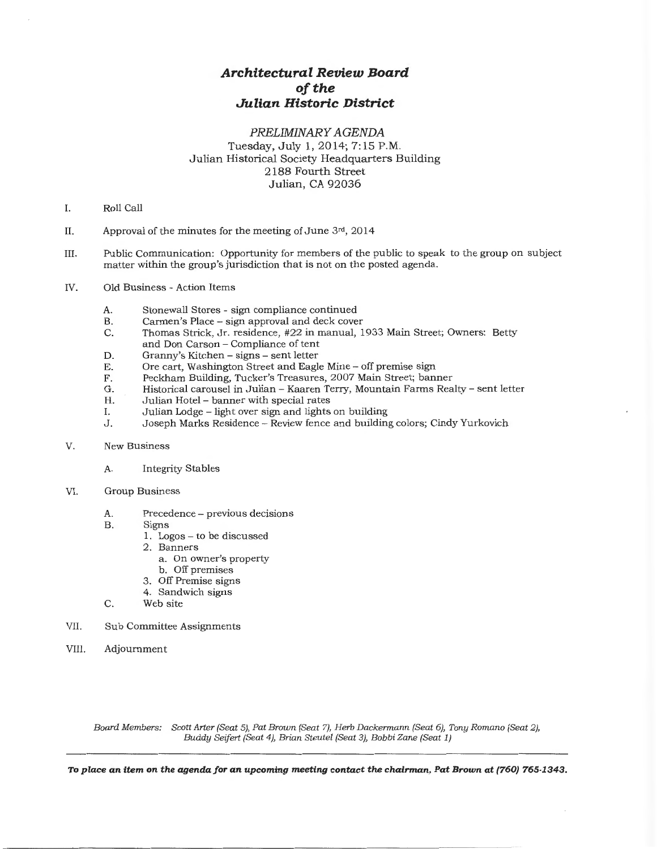### *PRELIMINARY AGENDA*  Tuesday, July 1, 2014; 7:15P.M. Julian Historical Society Headquarters Building 2188 Fourth Street Julian, CA 92036

- I. Roll Call
- II. Approval of the minutes for the meeting of June  $3rd$ , 2014
- III. Public Communication: Opportunity for members of the public to speak to the group on subject matter within the group's jurisdiction that is not on the posted agenda.
- IV. Old Business- Action Items
	- A. Stonewall Stores sign compliance continued<br>B. Carmen's Place sign approval and deck cove
	- B. Carmen's Place sign approval and deck cover C. Thomas Strick, Jr. residence, #22 in manual, 1
	- C. Thomas Strick, Jr. residence, #22 in manual, 1933 Main Street; Owners: Betty and Don Carson - Compliance of tent
	- D. Granny's Kitchen signs sent letter<br>E. Ore cart. Washington Street and Eagle
	- E. Ore cart, Washington Street and Eagle Mine off premise sign<br>F. Peckham Building. Tucker's Treasures. 2007 Main Street: ban.
	- F. Peckham Building, Tucker's Treasures, 2007 Main Street; banner
	- G. Historical carousel in Julian- Kaaren Terry, Mountain Farms Realty- sent letter
	- H. Julian Hotel banner with special rates<br>I. Julian Lodge light over sign and lights
	- I. Julian Lodge light over sign and lights on building<br>J. Joseph Marks Residence Review fence and building
	- Joseph Marks Residence -- Review fence and building colors; Cindy Yurkovich
- V. New Business
	- A. Integrity Stables
- VI. Group Business
	- A. Precedence previous decisions<br>B. Signs
	- Signs
		- 1. Logos to be discussed
		- 2. Banners
			- a. On owner's property
			- b. Off premises
		- 3. Off Premise signs
		- 4. Sandwich signs
	- C. Web site
- VII. Sub Committee Assignments
- VIII. Adjournment

Board Members: Scott Arter (Seat 5}, Pat Brown (Seat 7), Herb Dackermann (Seat 6), Tony Romano (Seat 2), Buddy Seifert (Seat 4), Brian Steutel (Seat 3}, Bobbi Zane (Seat 1)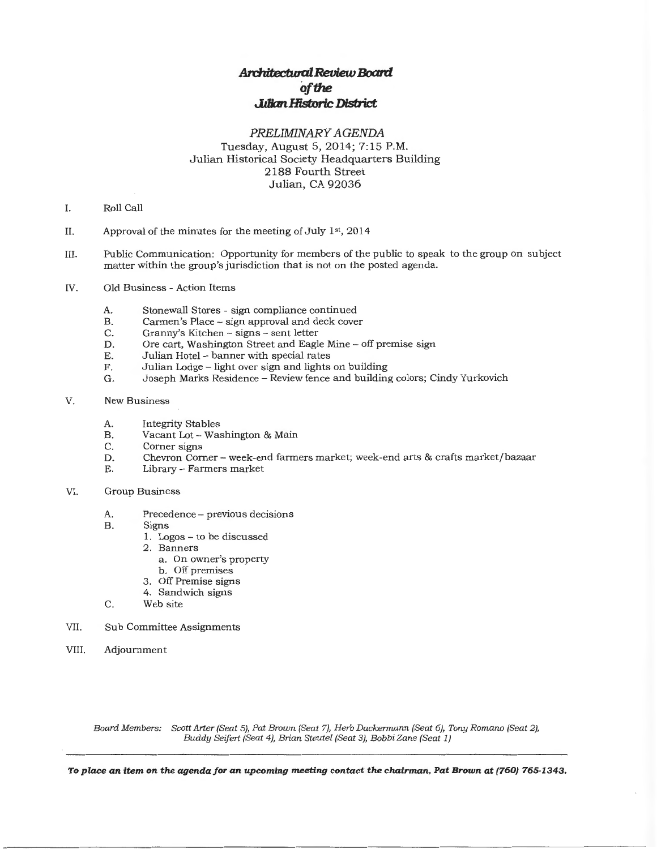### *PRELIMINARY AGENDA*  Tuesday, August 5, 2014; 7:15P.M. Julian Historical Society Headquarters Building 2188 Fourth Street Julian, CA 92036

- I. Roll Call
- II. Approval of the minutes for the meeting of July  $1<sup>st</sup>$ , 2014
- III. Public Communication: Opportunity for members of the public to speak to the group on subject matter within the group's jurisdiction that is not on the posted agenda.
- IV. Old Business- Action Items
	- A. Stonewall Stores sign compliance continued<br>B. Carmen's Place sign approval and deck cove
	- B. Carmen's Place sign approval and deck cover<br>C. Granny's Kitchen signs sent letter
	- C. Granny's Kitchen signs sent letter<br>D. Ore cart. Washington Street and Eagle
	- D. Ore cart, Washington Street and Eagle Mine off premise sign E. Julian Hotel banner with special rates
	- E. Julian Hotel banner with special rates<br>F. Julian Lodge light over sign and lights
	- F. Julian Lodge light over sign and lights on building<br>G. Joseph Marks Residence Review fence and building
	- Joseph Marks Residence Review fence and building colors; Cindy Yurkovich
- V. New Business
	- A. Integrity Stables
	- B. Vacant Lot Washington & Main<br>C. Corner signs
	- C. Corner signs<br>D. Chevron Corn
	- D. Chevron Corner- week-end farmers market; week-end arts & crafts market/bazaar
	- E. Library Farmers market
- VI. Group Business
	- A. Precedence previous decisions<br>B. Signs
	- Signs
		- 1. Logos to be discussed
		- 2. Banners
			- a. On owner's property
			- b. Off premises
		- 3. Off Premise signs
		- 4. Sandwich signs
	- C. Web site
- VII. Sub Committee Assignments
- VIII. Adjournment

Board Members: Scott Arter (Seat 5), Pat Brown (Seat 7), Herb Dackermann (Seat 6}, Tony Romano (Seat 2), Buddy Seifert (Seat 4), Brian Steutel (Seat 3), BobbiZane (Seat 1)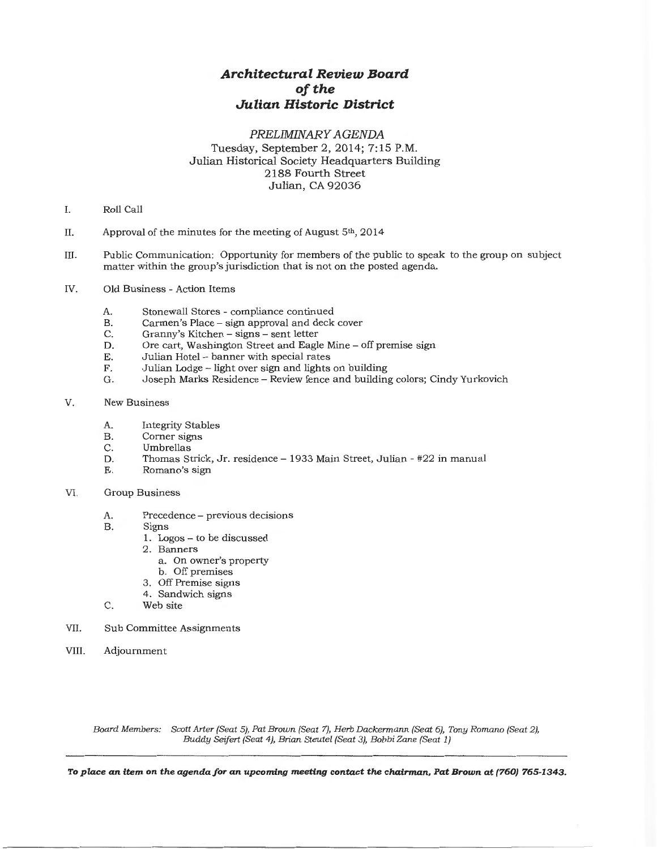### PRELIMINARY AGENDA Tuesday, September 2, 2014; 7:15 P.M. Julian Historical Society Headquarters Building 2188 Fourth Street Julian, CA 92036

- I. Roll Call
- II. Approval of the minutes for the meeting of August  $5<sup>th</sup>$ , 2014
- III. Public Communication: Opportunity for members of the public to speak to the group on subject matter within the group's jurisdiction that is not on the posted agenda.
- IV. Old Business- Action Items
	- A. Stonewall Stores compliance continued
	- B. Carmen's Place sign approval and deck cover
	- C. Granny's Kitchen signs- sent letter
	- D. Ore cart, Washington Street and Eagle Mine off premise sign
	- E. Julian Hotel- banner with special rates
	- F. Julian Lodge light over sign and lights on building
	- G. Joseph Marks Residence- Review fence and building colors; Cindy Yurkovich
- V. New Business
	- A. Integrity Stables<br>B. Corner signs
	- B. Corner signs<br>C. Umbrellas
	- C. Umbrellas<br>D. Thomas St
	- Thomas Strick, Jr. residence 1933 Main Street, Julian #22 in manual
	- E. Romano's sign

#### VI. Group Business

- A. Precedence previous decisions
- B. Signs
	- 1. Logos to be discussed
	- 2. Banners
		- a. On owner's property
		- b. Off premises
		- 3. Off Premise signs
	- 4. Sandwich signs
- C. Web site
- VII. Sub Committee Assignments
- VIII. Adjournment

Board Members: Scott Arter (Seat 5), Pat Brown (Seat 7), Herb Dackermann (Seat 6), Tony Romano (Seat 2), Buddy Seifert (Seat 4), Brian Steutel (Seat 3}, BobbiZane (Seat 1)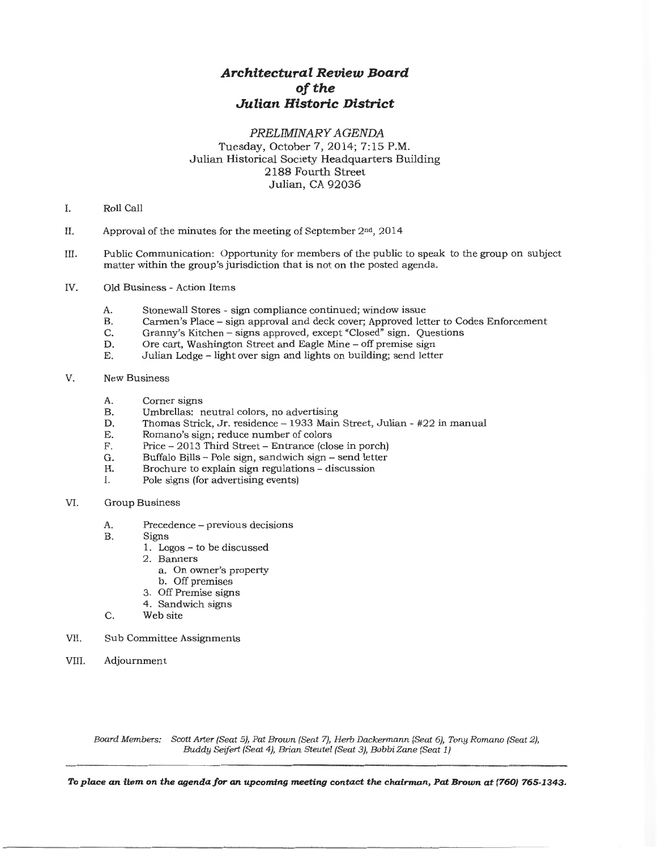### *PRELIMINARY AGENDA*  Tuesday, October 7, 2014; 7:15P.M. Julian Historical Society Headquarters Building 2188 Fourth Street Julian, CA 92036

- I. Roll Call
- II. Approval of the minutes for the meeting of September 2nd, 2014
- III. Public Communication: Opportunity for members of the public to speak to the group on subject matter within the group's jurisdiction that is not on the posted agenda.
- IV. Old Business Action Items
	- A. Stonewall Stores sign compliance continued; window issue<br>B. Carmen's Place sign approval and deck cover: Approved let
	- B. Carmen's Place sign approval and deck cover; Approved letter to Codes Enforcement C. Granny's Kitchen signs approved, except "Closed" sign. Questions
	- C. Granny's Kitchen signs approved, except "Closed" sign. Questions D. Ore cart. Washington Street and Eagle Mine off premise sign
	- D. Ore cart, Washington Street and Eagle Mine off premise sign<br>E. Ultian Lodge light over sign and lights on building: send letter
	- Julian Lodge light over sign and lights on building; send letter
- V. New Business
	- A. Corner signs<br>B. Umbrellas: r
	- B. Umbrellas: neutral colors, no advertising<br>D. Thomas Strick, Jr. residence 1933 Main
	- D. Thomas Strick, Jr. residence 1933 Main Street, Julian #22 in manual E. Romano's sign: reduce number of colors
	- E. Romano's sign; reduce number of colors<br>F. Price 2013 Third Street Entrance (clo
	- F. Price 2013 Third Street Entrance (close in porch)<br>G. Buffalo Bills Pole sign. sandwich sign send letter
	- G. Buffalo Bills Pole sign, sandwich sign send letter<br>H. Brochure to explain sign regulations discussion
	- Brochure to explain sign regulations discussion
	- I. Pole signs (for advertising events)
- VI. Group Business
	- A. Precedence previous decisions<br>B. Signs
	- Signs
		- 1. Logos to be discussed
		- 2. Banners
			- a. On owner's property
			- b. Off premises
		- 3. Off Premise signs
		- 4. Sandwich signs
	- C. Web site
- VII. Sub Committee Assignments
- VIII. Adjournment

*Board Members: Scott Arter (Seat 5), Pat Brown (Seat 7), Herb Dackermann (Seat 6), Tony Romano (Seat 2), Buddy Seifert (Seat 4), Brian Steutel (Seat 3), BobbiZane (Seat 1)*